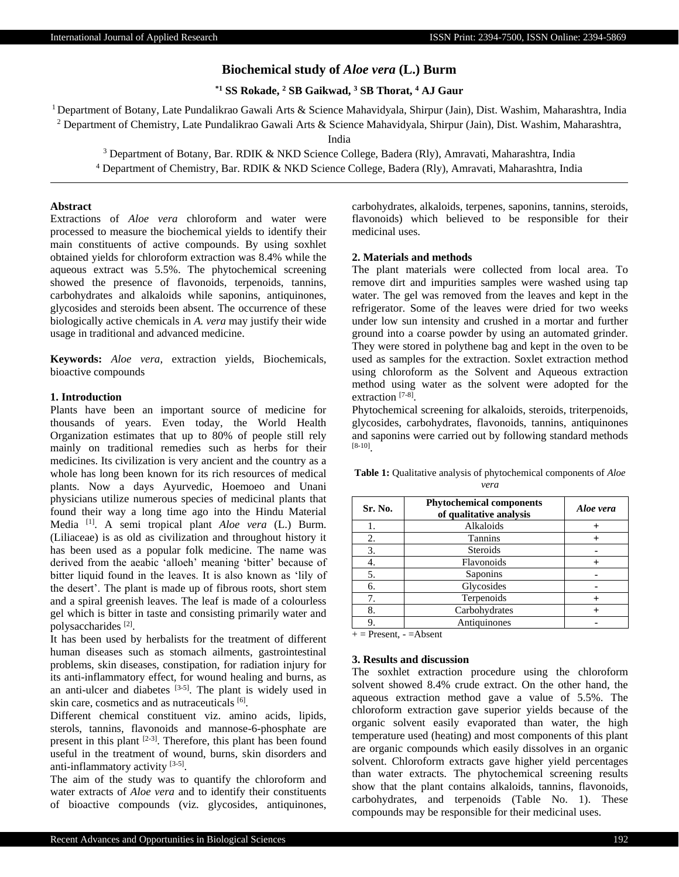# **Biochemical study of** *Aloe vera* **(L.) Burm**

**\*1 SS Rokade, <sup>2</sup> SB Gaikwad, <sup>3</sup> SB Thorat, <sup>4</sup> AJ Gaur**

<sup>1</sup>Department of Botany, Late Pundalikrao Gawali Arts & Science Mahavidyala, Shirpur (Jain), Dist. Washim, Maharashtra, India <sup>2</sup> Department of Chemistry, Late Pundalikrao Gawali Arts & Science Mahavidyala, Shirpur (Jain), Dist. Washim, Maharashtra,

India

<sup>3</sup> Department of Botany, Bar. RDIK & NKD Science College, Badera (Rly), Amravati, Maharashtra, India <sup>4</sup> Department of Chemistry, Bar. RDIK & NKD Science College, Badera (Rly), Amravati, Maharashtra, India

## **Abstract**

Extractions of *Aloe vera* chloroform and water were processed to measure the biochemical yields to identify their main constituents of active compounds. By using soxhlet obtained yields for chloroform extraction was 8.4% while the aqueous extract was 5.5%. The phytochemical screening showed the presence of flavonoids, terpenoids, tannins, carbohydrates and alkaloids while saponins, antiquinones, glycosides and steroids been absent. The occurrence of these biologically active chemicals in *A. vera* may justify their wide usage in traditional and advanced medicine.

**Keywords:** *Aloe vera*, extraction yields, Biochemicals, bioactive compounds

#### **1. Introduction**

Plants have been an important source of medicine for thousands of years. Even today, the World Health Organization estimates that up to 80% of people still rely mainly on traditional remedies such as herbs for their medicines. Its civilization is very ancient and the country as a whole has long been known for its rich resources of medical plants. Now a days Ayurvedic, Hoemoeo and Unani physicians utilize numerous species of medicinal plants that found their way a long time ago into the Hindu Material Media [1]. A semi tropical plant *Aloe vera* (L.) Burm. (Liliaceae) is as old as civilization and throughout history it has been used as a popular folk medicine. The name was derived from the aeabic 'alloeh' meaning 'bitter' because of bitter liquid found in the leaves. It is also known as 'lily of the desert'. The plant is made up of fibrous roots, short stem and a spiral greenish leaves. The leaf is made of a colourless gel which is bitter in taste and consisting primarily water and polysaccharides<sup>[2]</sup>.

It has been used by herbalists for the treatment of different human diseases such as stomach ailments, gastrointestinal problems, skin diseases, constipation, for radiation injury for its anti-inflammatory effect, for wound healing and burns, as an anti-ulcer and diabetes  $[3-5]$ . The plant is widely used in skin care, cosmetics and as nutraceuticals [6].

Different chemical constituent viz. amino acids, lipids, sterols, tannins, flavonoids and mannose-6-phosphate are present in this plant [2-3]. Therefore, this plant has been found useful in the treatment of wound, burns, skin disorders and anti-inflammatory activity [3-5].

The aim of the study was to quantify the chloroform and water extracts of *Aloe vera* and to identify their constituents of bioactive compounds (viz. glycosides, antiquinones, carbohydrates, alkaloids, terpenes, saponins, tannins, steroids, flavonoids) which believed to be responsible for their medicinal uses.

## **2. Materials and methods**

The plant materials were collected from local area. To remove dirt and impurities samples were washed using tap water. The gel was removed from the leaves and kept in the refrigerator. Some of the leaves were dried for two weeks under low sun intensity and crushed in a mortar and further ground into a coarse powder by using an automated grinder. They were stored in polythene bag and kept in the oven to be used as samples for the extraction. Soxlet extraction method using chloroform as the Solvent and Aqueous extraction method using water as the solvent were adopted for the extraction [7-8].

Phytochemical screening for alkaloids, steroids, triterpenoids, glycosides, carbohydrates, flavonoids, tannins, antiquinones and saponins were carried out by following standard methods [8-10] .

**Table 1:** Qualitative analysis of phytochemical components of *Aloe vera*

| Sr. No. | <b>Phytochemical components</b><br>of qualitative analysis | Aloe vera |
|---------|------------------------------------------------------------|-----------|
|         | Alkaloids                                                  |           |
| 2.      | <b>Tannins</b>                                             |           |
| 3.      | <b>Steroids</b>                                            |           |
|         | Flavonoids                                                 |           |
| 5.      | Saponins                                                   |           |
| 6.      | Glycosides                                                 |           |
|         | Terpenoids                                                 |           |
| 8.      | Carbohydrates                                              |           |
|         | Antiquinones                                               |           |

 $+=$  Present,  $-$  = Absent

## **3. Results and discussion**

The soxhlet extraction procedure using the chloroform solvent showed 8.4% crude extract. On the other hand, the aqueous extraction method gave a value of 5.5%. The chloroform extraction gave superior yields because of the organic solvent easily evaporated than water, the high temperature used (heating) and most components of this plant are organic compounds which easily dissolves in an organic solvent. Chloroform extracts gave higher yield percentages than water extracts. The phytochemical screening results show that the plant contains alkaloids, tannins, flavonoids, carbohydrates, and terpenoids (Table No. 1). These compounds may be responsible for their medicinal uses.